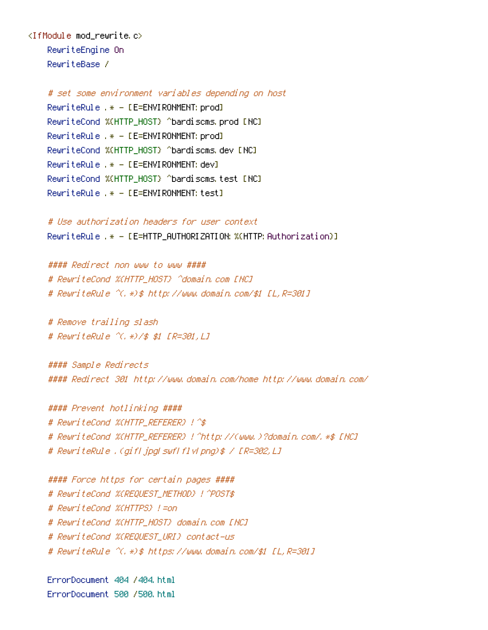<IfModule mod\_rewrite.c> RewriteEngine On RewriteBase /

> # set some environment variables depending on host RewriteRule .\* - [E=ENVIRONMENT:prod] RewriteCond %{HTTP\_HOST} ^bardiscms.prod [NC] RewriteRule .\* - [E=ENVIRONMENT:prod] RewriteCond %{HTTP\_HOST} ^bardiscms.dev [NC] RewriteRule .\* - [E=ENVIRONMENT: dev] RewriteCond %{HTTP\_HOST} ^bardiscms.test [NC] RewriteRule .\* - [E=ENVIRONMENT:test]

# Use authorization headers for user context RewriteRule .\* - [E=HTTP\_AUTHORIZATION: %(HTTP: Authorization)]

#### Redirect non www to www #### # RewriteCond %(HTTP\_HOST) ^domain.com [NC] # RewriteRule ^(.\*)\$ http://www.domain.com/\$1 [L,R=301]

# Remove trailing slash # RewriteRule ^(.\*)/\$ \$1 [R=301,L]

#### Sample Redirects #### Redirect 301 http://www.domain.com/home http://www.domain.com/

#### Prevent hotlinking #### # RewriteCond %{HTTP\_REFERER} !^\$ # RewriteCond %{HTTP\_REFERER} !^http://(www.)?domain.com/.\*\$ [NC] # RewriteRule .(gif|jpg|swf|flv|png)\$ / [R=302,L]

#### Force https for certain pages #### # RewriteCond %(REQUEST METHOD) ! ^POST\$ # RewriteCond %{HTTPS} !=on # RewriteCond %{HTTP\_HOST} domain.com [NC] # RewriteCond %{REQUEST\_URI} contact-us # RewriteRule ^(.\*)\$ https://www.domain.com/\$1 [L,R=301]

ErrorDocument 404 /404.html ErrorDocument 500 /500.html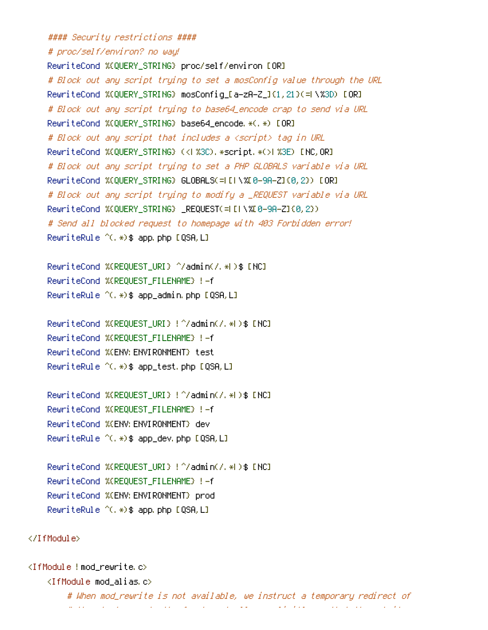#### Security restrictions ####

# proc/self/environ? no way!

RewriteCond %{QUERY\_STRING} proc/self/environ [OR] # Block out any script trying to set <sup>a</sup> mosConfig value through the URL RewriteCond %{QUERY\_STRING} mosConfig\_[a-zA-Z\_]{1,21}(=|\%3D) [OR] # Block out any script trying to base64\_encode crap to send via URL RewriteCond %{QUERY\_STRING} base64\_encode.\*(.\*) [OR] # Block out any script that includes <sup>a</sup> <script> tag in URL RewriteCond %{QUERY\_STRING} (<|%3C).\*script.\*(>|%3E) [NC,OR] # Block out any script trying to set <sup>a</sup> PHP GLOBALS variable via URL RewriteCond %{QUERY\_STRING} GLOBALS(=|[|\%[0-9A-Z]{0,2}) [OR] # Block out any script trying to modify <sup>a</sup> \_REQUEST variable via URL RewriteCond %{QUERY\_STRING} \_REQUEST(=|[|\%[0-9A-Z]{0,2}) # Send all blocked request to homepage with 403 Forbidden error! RewriteRule ^(.\*)\$ app.php [QSA,L]

RewriteCond %{REQUEST\_URI} ^/admin(/.\*|)\$ [NC] RewriteCond %{REQUEST\_FILENAME} !-f RewriteRule  $^{\sim}$ (,  $\ast$ )\$ app\_admin.php [QSA,L]

RewriteCond %{REQUEST\_URI} !^/admin(/.\*|)\$ [NC] RewriteCond %{REQUEST\_FILENAME} !-f RewriteCond %{ENV:ENVIRONMENT} test RewriteRule ^(.\*)\$ app\_test.php [QSA,L]

RewriteCond %{REQUEST\_URI} !^/admin(/.\*|)\$ [NC] RewriteCond %{REQUEST\_FILENAME} !-f RewriteCond %{ENV:ENVIRONMENT} dev RewriteRule ^(.\*)\$ app\_dev.php [QSA,L]

RewriteCond %{REQUEST\_URI} !^/admin(/.\*|)\$ [NC] RewriteCond %{REQUEST\_FILENAME} !-f RewriteCond %{ENV:ENVIRONMENT} prod RewriteRule ^(.\*)\$ app.php [QSA,L]

</IfModule>

<IfModule !mod\_rewrite.c>  $\triangleleft$ IfModule mod alias.c $>$ # When mod\_rewrite is not available, we instruct <sup>a</sup> temporary redirect of # the start page to the front controller explicitly so that the website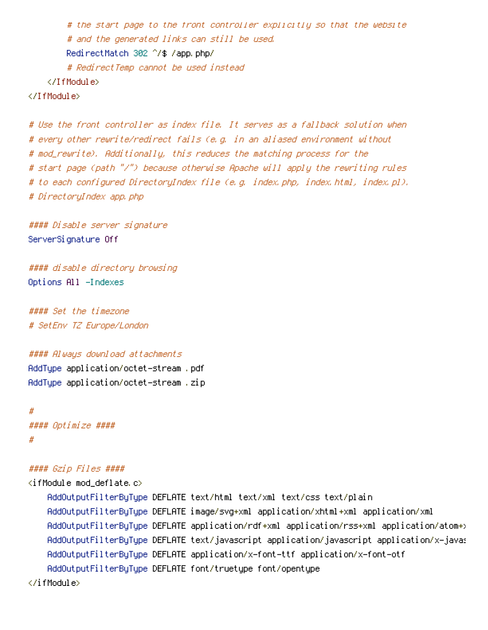```
# the start page to the front controller explicitly so that the website
        # and the generated links can still be used.
        RedirectMatch 302 ^/$ /app.php/
        # RedirectTemp cannot be used instead
    </IfModule>
</IfModule>
```

```
# Use the front controller as index file. It serves as a fallback solution when
# every other rewrite/redirect fails (e.g. in an aliased environment without
# mod_rewrite). Additionally, this reduces the matching process for the
# start page (path "/") because otherwise Apache will apply the rewriting rules
# to each configured DirectoryIndex file (e.g. index.php, index.html, index.pl).
# DirectoryIndex app.php
```
#### Disable server signature ServerSignature Off

#### disable directory browsing Options All -Indexes

#### Set the timezone # SetEnv TZ Europe/London

#### Always download attachments

AddType application/octet-stream .pdf AddType application/octet-stream .zip

```
#
#### Optimize ####
#
```
### #### Gzip Files ####

<ifModule mod\_deflate.c> AddOutputFilterByType DEFLATE text/html text/xml text/css text/plain AddOutputFilterByType DEFLATE image/svg+xml application/xhtml+xml application/xml AddOutputFilterByType DEFLATE application/rdf+xml application/rss+xml application/atom+xml AddOutputFilterByType DEFLATE text/javascript application/javascript application/x-javascript application AddOutputFilterByType DEFLATE application/x-font-ttf application/x-font-otf AddOutputFilterByType DEFLATE font/truetype font/opentype </ifModule>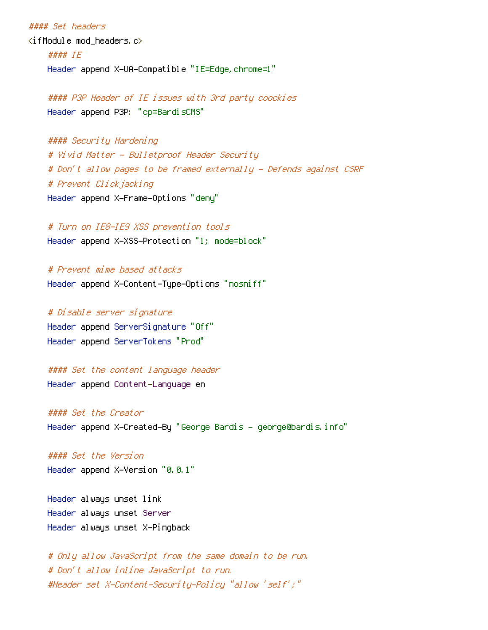# #### Set headers  $\langle$ ifModule mod headers.c $\rangle$ #### IE Header append X-UA-Compatible "IE=Edge,chrome=1"

#### P3P Header of IE issues with 3rd party coockies Header append P3P: "cp=BardisCMS"

#### #### Security Hardening

# Vivid Matter - Bulletproof Header Security # Don't allow pages to be framed externally - Defends against CSRF # Prevent Clickjacking Header append X-Frame-Options "deny"

# Turn on IE8-IE9 XSS prevention tools Header append X-XSS-Protection "1; mode=block"

# Prevent mime based attacks Header append X-Content-Type-Options "nosniff"

# Disable server signature Header append ServerSignature "Off" Header append ServerTokens "Prod"

#### Set the content language header Header append Content-Language en

#### Set the Creator Header append X-Created-By "George Bardis - george@bardis.info"

#### Set the Version Header append X-Version "0.0.1"

Header always unset link Header always unset Server Header always unset X-Pingback

# Only allow JavaScript from the same domain to be run. # Don't allow inline JavaScript to run. #Header set X-Content-Security-Policy "allow 'self';"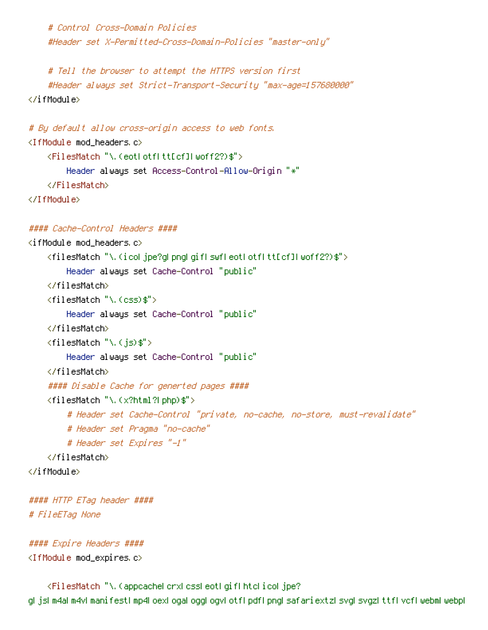# Control Cross-Domain Policies #Header set X-Permitted-Cross-Domain-Policies "master-only"

# Tell the browser to attempt the HTTPS version first #Header always set Strict-Transport-Security "max-age=157680000" </ifModule>

```
# By default allow cross-origin access to web fonts.
<IfModule mod_headers.c>
    <FilesMatch "\.(eot|otf|tt[cf]|woff2?)$">
        Header always set Access-Control-Allow-Origin "*"
    </FilesMatch>
</IfModule>
```
#### #### Cache-Control Headers ####

```
\langleifModule mod headers.c\rangle<filesMatch "\.(ico|jpe?g|png|gif|swf|eot|otf|tt[cf]|woff2?)$">
        Header always set Cache-Control "public"
    </filesMatch>
    <filesMatch "\.(css)$">
        Header always set Cache-Control "public"
    </filesMatch>
    \langlefilesMatch "\.(is)$">
        Header always set Cache-Control "public"
    </filesMatch>
    #### Disable Cache for generted pages ####
    <filesMatch "\.(x?html?|php)$">
        # Header set Cache-Control "private, no-cache, no-store, must-revalidate"
        # Header set Pragma "no-cache"
        # Header set Expires "-1"
    </filesMatch>
</ifModule>
#### HTTP ETag header ####
```
# FileETag None

```
#### Expire Headers ####
<IfModule mod_expires.c>
```
<FilesMatch "\.(appcache|crx|css|eot|gif|htc|ico|jpe? g|js|m4a|m4v|manifest|mp4|oex|oga|ogg|ogv|otf|pdf|png|safariextz|svg|svgz|ttf|vcf|webm|webp|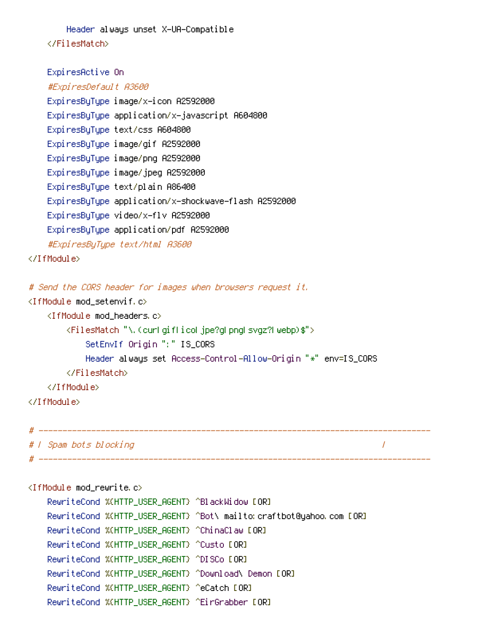Header always unset X-UA-Compatible </FilesMatch>

```
ExpiresActive On
    #ExpiresDefault A3600
    ExpiresByType image/x-icon A2592000
    ExpiresByType application/x-javascript A604800
    ExpiresByType text/css A604800
    ExpiresByType image/gif A2592000
    ExpiresByType image/png A2592000
    ExpiresByType image/jpeg A2592000
    ExpiresByType text/plain A86400
    ExpiresByType application/x-shockwave-flash A2592000
    ExpiresByType video/x-flv A2592000
    ExpiresByType application/pdf A2592000
    #ExpiresByType text/html A3600
</IfModule>
# Send the CORS header for images when browsers request it.
<IfModule mod_setenvif.c>
    <IfModule mod_headers.c>
       <FilesMatch "\.(cur|gif|ico|jpe?g|png|svgz?|webp)$">
           SetEnvIf Origin ":" IS_CORS
           Header always set Access-Control-Allow-Origin "*" env=IS_CORS
       </FilesMatch>
    </IfModule>
</IfModule>
# ----------------------------------------------------------------------------------
# | Spam bots blocking |
```
<IfModule mod\_rewrite.c>

RewriteCond %{HTTP\_USER\_AGENT} ^BlackWidow [OR] RewriteCond %{HTTP\_USER\_AGENT} ^Bot\ mailto:craftbot@yahoo.com [OR] RewriteCond %{HTTP\_USER\_AGENT} ^ChinaClaw [OR] RewriteCond %{HTTP\_USER\_AGENT} ^Custo [OR] RewriteCond %{HTTP\_USER\_AGENT} ^DISCo [OR] RewriteCond %{HTTP\_USER\_AGENT} ^Download\ Demon [OR] RewriteCond %{HTTP\_USER\_AGENT} ^eCatch [OR] RewriteCond %{HTTP\_USER\_AGENT} ^EirGrabber [OR]

# ----------------------------------------------------------------------------------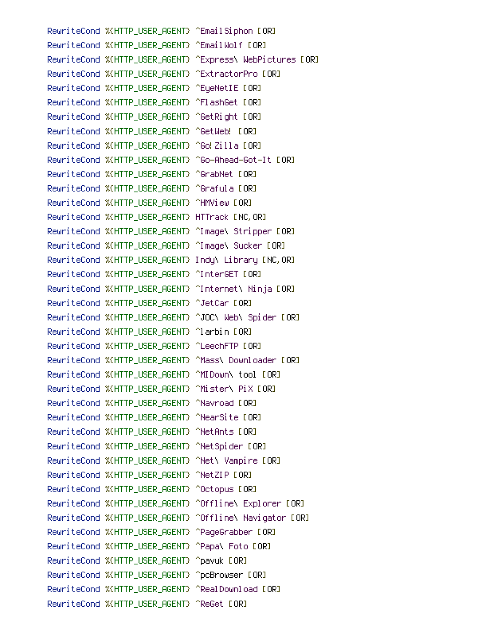RewriteCond %(HTTP\_USER\_AGENT) ^EmailSiphon [OR] RewriteCond %{HTTP\_USER\_AGENT} ^EmailWolf [OR] RewriteCond %{HTTP\_USER\_AGENT} ^Express\ WebPictures [OR] RewriteCond %{HTTP\_USER\_AGENT} ^ExtractorPro [OR] RewriteCond %{HTTP\_USER\_AGENT} ^EueNetIE [OR] RewriteCond %{HTTP\_USER\_AGENT} ^FlashGet [OR] RewriteCond %(HTTP\_USER\_AGENT) ^GetRight [OR] RewriteCond %{HTTP\_USER\_AGENT} ^GetWeb! [OR] RewriteCond %(HTTP\_USER\_AGENT) ^Go!Zilla [OR] RewriteCond %{HTTP\_USER\_AGENT} ^Go-Ahead-Got-It [OR] RewriteCond %{HTTP\_USER\_AGENT} ^GrabNet [OR] RewriteCond %(HTTP\_USER\_AGENT) ^Grafula [OR] RewriteCond %{HTTP\_USER\_AGENT} ^HMView [OR] RewriteCond %{HTTP\_USER\_AGENT} HTTrack [NC,OR] RewriteCond %{HTTP\_USER\_AGENT} ^Image\ Stripper [OR] RewriteCond %{HTTP\_USER\_AGENT} ^Image\ Sucker [OR] RewriteCond %{HTTP\_USER\_AGENT} Indy\ Library [NC,OR] RewriteCond %{HTTP\_USER\_AGENT} ^InterGET [OR] RewriteCond %{HTTP\_USER\_AGENT} ^Internet\ Ninja [OR] RewriteCond %{HTTP\_USER\_AGENT} ^JetCar [OR] RewriteCond %{HTTP\_USER\_AGENT} ^JOC\ Web\ Spider [OR] RewriteCond %{HTTP\_USER\_AGENT} ^larbin [OR] RewriteCond %(HTTP\_USER\_AGENT) ^LeechFTP [OR] RewriteCond %{HTTP\_USER\_AGENT} ^Mass\ Downloader [OR] RewriteCond %{HTTP\_USER\_AGENT} ^MIDown\ tool [OR] RewriteCond %{HTTP\_USER\_AGENT} ^Mister\ PiX [OR] RewriteCond %{HTTP\_USER\_AGENT} ^Navroad [OR] RewriteCond %{HTTP\_USER\_AGENT} ^NearSite [OR] RewriteCond %{HTTP\_USER\_AGENT} ^NetAnts [OR] RewriteCond %(HTTP\_USER\_AGENT) ^NetSpider [OR] RewriteCond %{HTTP\_USER\_AGENT} ^Net\ Vampire [OR] RewriteCond %(HTTP\_USER\_AGENT) ^NetZIP [OR] RewriteCond %{HTTP\_USER\_AGENT} ^Octopus [OR] RewriteCond %{HTTP\_USER\_AGENT} ^Offline\ Explorer [OR] RewriteCond %{HTTP\_USER\_AGENT} ^Offline\ Navigator [OR] RewriteCond %{HTTP\_USER\_AGENT} ^PageGrabber [OR] RewriteCond %{HTTP\_USER\_AGENT} ^Papa\ Foto [OR] RewriteCond %{HTTP\_USER\_AGENT} ^pavuk [OR] RewriteCond %{HTTP\_USER\_AGENT} ^pcBrowser [OR] RewriteCond %(HTTP\_USER\_AGENT) ^RealDownload [OR] RewriteCond %{HTTP\_USER\_AGENT} ^ReGet [OR]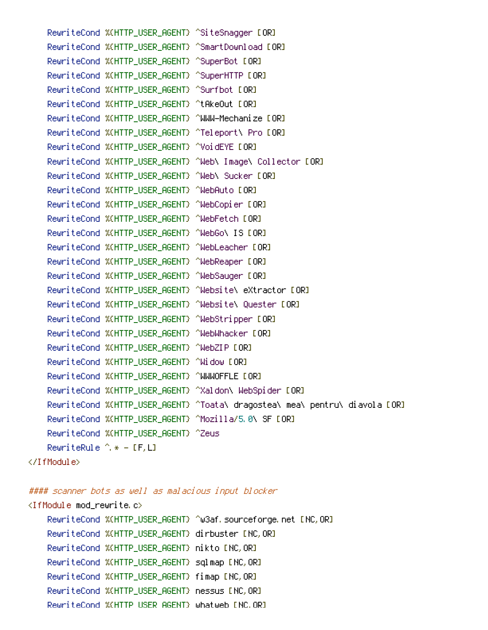RewriteCond %(HTTP\_USER\_AGENT) ^SiteSnagger [OR] RewriteCond %{HTTP\_USER\_AGENT} ^SmartDownload [OR] RewriteCond %(HTTP\_USER\_AGENT) ^SuperBot [OR] RewriteCond %(HTTP\_USER\_AGENT) ^SuperHTTP [OR] RewriteCond %{HTTP\_USER\_AGENT} ^Surfbot [OR] RewriteCond %{HTTP\_USER\_AGENT} ^tAkeOut [OR] RewriteCond %{HTTP\_USER\_AGENT} ^WWW-Mechanize [OR] RewriteCond %{HTTP\_USER\_AGENT} ^Teleport\ Pro [OR] RewriteCond %{HTTP\_USER\_AGENT} ^VoidEYE [OR] RewriteCond %{HTTP\_USER\_AGENT} ^Web\ Image\ Collector [OR] RewriteCond %{HTTP\_USER\_AGENT} ^Web\ Sucker [OR] RewriteCond %{HTTP\_USER\_AGENT} ^WebAuto [OR] RewriteCond %{HTTP\_USER\_AGENT} ^WebCopier [OR] RewriteCond %(HTTP\_USER\_AGENT) ^WebFetch [OR] RewriteCond %{HTTP\_USER\_AGENT} ^WebGo\ IS [OR] RewriteCond %{HTTP\_USER\_AGENT} ^WebLeacher [OR] RewriteCond %{HTTP\_USER\_AGENT} ^WebReaper [OR] RewriteCond %{HTTP\_USER\_AGENT} ^WebSauger [OR] RewriteCond %{HTTP\_USER\_AGENT} ^Website\ eXtractor [OR] RewriteCond %{HTTP\_USER\_AGENT} ^Website\ Quester [OR] RewriteCond %{HTTP\_USER\_AGENT} ^WebStripper [OR] RewriteCond %{HTTP\_USER\_AGENT} ^WebWhacker [OR] RewriteCond %{HTTP\_USER\_AGENT} ^WebZIP [OR] RewriteCond %{HTTP\_USER\_AGENT} ^Widow [OR] RewriteCond %(HTTP\_USER\_AGENT) ^WWWOFFLE [OR] RewriteCond %{HTTP\_USER\_AGENT} ^Xaldon\ WebSpider [OR] RewriteCond %{HTTP\_USER\_AGENT} ^Toata\ dragostea\ mea\ pentru\ diavola [OR] RewriteCond %{HTTP\_USER\_AGENT} ^Mozilla/5.0\ SF [OR] RewriteCond %{HTTP\_USER\_AGENT} ^Zeus RewriteRule  $\hat{ }$   $*$  - [F,L] </IfModule>

#### scanner bots as well as malacious input blocker

 $R_{\rm T}$  and  $R_{\rm T}$  and  $R_{\rm T}$  and  $R_{\rm T}$  are  $R_{\rm T}$  and  $R_{\rm T}$  are GeT  $\alpha$ 

## $\triangleleft$ IfModule mod rewrite.c $>$

```
RewriteCond %{HTTP_USER_AGENT} ^w3af.sourceforge.net [NC,OR]
RewriteCond %{HTTP_USER_AGENT} dirbuster [NC,OR]
RewriteCond %{HTTP_USER_AGENT} nikto [NC,OR]
RewriteCond %{HTTP_USER_AGENT} sqlmap [NC,OR]
RewriteCond %{HTTP_USER_AGENT} fimap [NC,OR]
RewriteCond %{HTTP_USER_AGENT} nessus [NC,OR]
RewriteCond %{HTTP_USER_AGENT} whatweb [NC,OR]
```